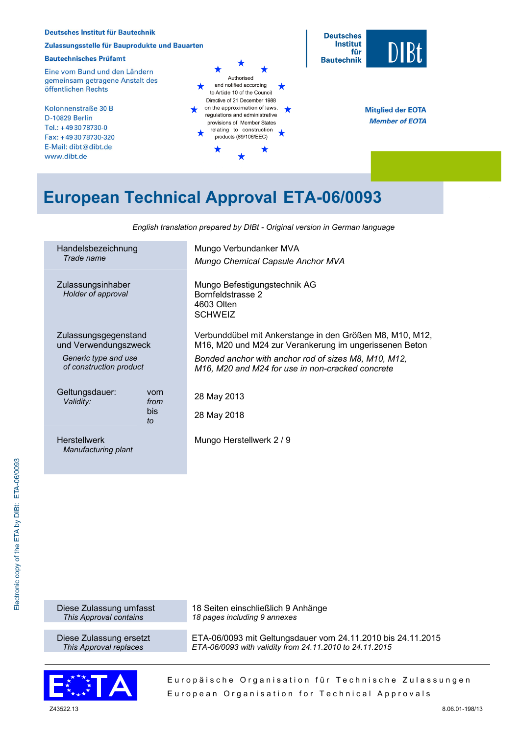

# **European Technical Approval ETA-06/0093**

| Handelsbezeichnung<br>Trade name        | Mungo Verbundanker MVA                                   |  |  |  |  |  |
|-----------------------------------------|----------------------------------------------------------|--|--|--|--|--|
|                                         | Mungo Chemical Capsule Anchor MVA                        |  |  |  |  |  |
| Zulassungsinhaber<br>Holder of approval | Mungo Befestigungstechnik AG                             |  |  |  |  |  |
|                                         | Bornfeldstrasse 2<br>4603 Olten                          |  |  |  |  |  |
|                                         | <b>SCHWEIZ</b>                                           |  |  |  |  |  |
|                                         |                                                          |  |  |  |  |  |
| Zulassungsgegenstand                    | Verbunddübel mit Ankerstange in den Größen M8, M10, M12, |  |  |  |  |  |
| und Verwendungszweck                    | M16, M20 und M24 zur Verankerung im ungerissenen Beton   |  |  |  |  |  |
| Generic type and use                    | Bonded anchor with anchor rod of sizes M8, M10, M12,     |  |  |  |  |  |
| of construction product                 | M16, M20 and M24 for use in non-cracked concrete         |  |  |  |  |  |
|                                         |                                                          |  |  |  |  |  |
| Geltungsdauer:<br>vom                   | 28 May 2013                                              |  |  |  |  |  |
| Validity:<br>from                       |                                                          |  |  |  |  |  |
| bis.<br>to                              | 28 May 2018                                              |  |  |  |  |  |
|                                         |                                                          |  |  |  |  |  |
| <b>Herstellwerk</b>                     | Mungo Herstellwerk 2 / 9                                 |  |  |  |  |  |
| Manufacturing plant                     |                                                          |  |  |  |  |  |

18 Seiten einschließlich 9 Anhänge

*18 pages including 9 annexes*

*English translation prepared by DIBt - Original version in German language* 

Diese Zulassung umfasst *This Approval contains*

Diese Zulassung ersetzt *This Approval replaces* 



Europäische Organisation für Technische Zulassungen European Organisation for Technical Approvals

ETA-06/0093 mit Geltungsdauer vom 24.11.2010 bis 24.11.2015

*ETA-06/0093 with validity from 24.11.2010 to 24.11.2015*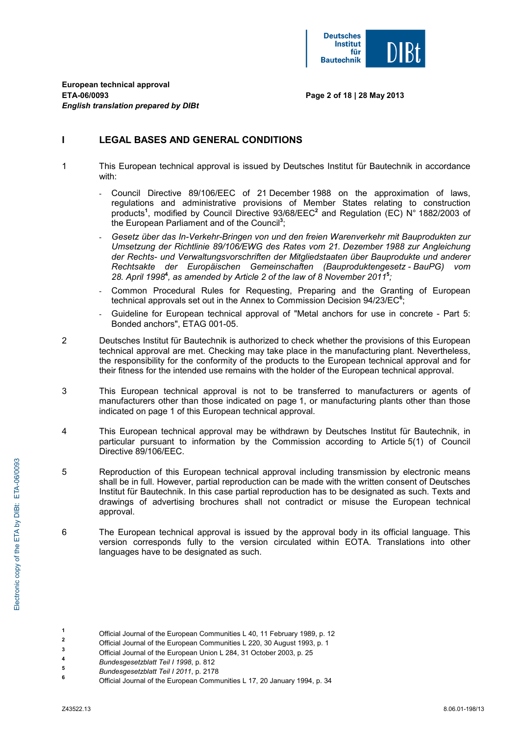

**Page 2 of 18 | 28 May 2013** 

# **I LEGAL BASES AND GENERAL CONDITIONS**

- 1 This European technical approval is issued by Deutsches Institut für Bautechnik in accordance with:
	- Council Directive 89/106/EEC of 21 December 1988 on the approximation of laws, regulations and administrative provisions of Member States relating to construction products**<sup>1</sup>** , modified by Council Directive 93/68/EEC**<sup>2</sup>** and Regulation (EC) N° 1882/2003 of the European Parliament and of the Council**<sup>3</sup>** ;
	- *Gesetz über das In-Verkehr-Bringen von und den freien Warenverkehr mit Bauprodukten zur Umsetzung der Richtlinie 89/106/EWG des Rates vom 21. Dezember 1988 zur Angleichung der Rechts- und Verwaltungsvorschriften der Mitgliedstaaten über Bauprodukte und anderer Rechtsakte der Europäischen Gemeinschaften (Bauproduktengesetz - BauPG) vom 28. April 1998***<sup>4</sup>** *, as amended by Article 2 of the law of 8 November 2011***<sup>5</sup>** *;*
	- Common Procedural Rules for Requesting, Preparing and the Granting of European technical approvals set out in the Annex to Commission Decision 94/23/EC**<sup>6</sup>** ;
	- Guideline for European technical approval of "Metal anchors for use in concrete Part 5: Bonded anchors", ETAG 001-05.
- 2 Deutsches Institut für Bautechnik is authorized to check whether the provisions of this European technical approval are met. Checking may take place in the manufacturing plant. Nevertheless, the responsibility for the conformity of the products to the European technical approval and for their fitness for the intended use remains with the holder of the European technical approval.
- 3 This European technical approval is not to be transferred to manufacturers or agents of manufacturers other than those indicated on page 1, or manufacturing plants other than those indicated on page 1 of this European technical approval.
- 4 This European technical approval may be withdrawn by Deutsches Institut für Bautechnik, in particular pursuant to information by the Commission according to Article 5(1) of Council Directive 89/106/EEC.
- 5 Reproduction of this European technical approval including transmission by electronic means shall be in full. However, partial reproduction can be made with the written consent of Deutsches Institut für Bautechnik. In this case partial reproduction has to be designated as such. Texts and drawings of advertising brochures shall not contradict or misuse the European technical approval.
- 6 The European technical approval is issued by the approval body in its official language. This version corresponds fully to the version circulated within EOTA. Translations into other languages have to be designated as such.
- **1** Official Journal of the European Communities L 40, 11 February 1989, p. 12 **2**
	- Official Journal of the European Communities L 220, 30 August 1993, p. 1
- **3**  $\frac{3}{4}$  Official Journal of the European Union L 284, 31 October 2003, p. 25
- **<sup>4</sup>** *Bundesgesetzblatt Teil I 1998*, p. 812 **<sup>5</sup>**
- *Bundesgesetzblatt Teil I 2011*, p. 2178 **<sup>6</sup>**

Official Journal of the European Communities L 17, 20 January 1994, p. 34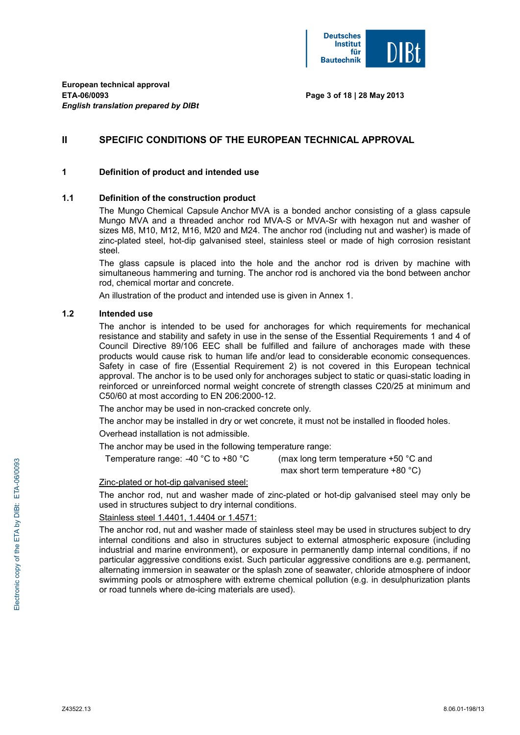

**Page 3 of 18 | 28 May 2013** 

# **II SPECIFIC CONDITIONS OF THE EUROPEAN TECHNICAL APPROVAL**

### **1 Definition of product and intended use**

### **1.1 Definition of the construction product**

 The Mungo Chemical Capsule Anchor MVA is a bonded anchor consisting of a glass capsule Mungo MVA and a threaded anchor rod MVA-S or MVA-Sr with hexagon nut and washer of sizes M8, M10, M12, M16, M20 and M24. The anchor rod (including nut and washer) is made of zinc-plated steel, hot-dip galvanised steel, stainless steel or made of high corrosion resistant steel.

 The glass capsule is placed into the hole and the anchor rod is driven by machine with simultaneous hammering and turning. The anchor rod is anchored via the bond between anchor rod, chemical mortar and concrete.

An illustration of the product and intended use is given in Annex 1.

#### **1.2 Intended use**

 The anchor is intended to be used for anchorages for which requirements for mechanical resistance and stability and safety in use in the sense of the Essential Requirements 1 and 4 of Council Directive 89/106 EEC shall be fulfilled and failure of anchorages made with these products would cause risk to human life and/or lead to considerable economic consequences. Safety in case of fire (Essential Requirement 2) is not covered in this European technical approval. The anchor is to be used only for anchorages subject to static or quasi-static loading in reinforced or unreinforced normal weight concrete of strength classes C20/25 at minimum and C50/60 at most according to EN 206:2000-12.

The anchor may be used in non-cracked concrete only.

The anchor may be installed in dry or wet concrete, it must not be installed in flooded holes.

Overhead installation is not admissible.

The anchor may be used in the following temperature range:

Temperature range: -40  $\degree$ C to +80  $\degree$ C (max long term temperature +50  $\degree$ C and max short term temperature +80 °C)

#### Zinc-plated or hot-dip galvanised steel:

 The anchor rod, nut and washer made of zinc-plated or hot-dip galvanised steel may only be used in structures subject to dry internal conditions.

### Stainless steel 1.4401, 1.4404 or 1.4571:

 The anchor rod, nut and washer made of stainless steel may be used in structures subject to dry internal conditions and also in structures subject to external atmospheric exposure (including industrial and marine environment), or exposure in permanently damp internal conditions, if no particular aggressive conditions exist. Such particular aggressive conditions are e.g. permanent, alternating immersion in seawater or the splash zone of seawater, chloride atmosphere of indoor swimming pools or atmosphere with extreme chemical pollution (e.g. in desulphurization plants or road tunnels where de-icing materials are used).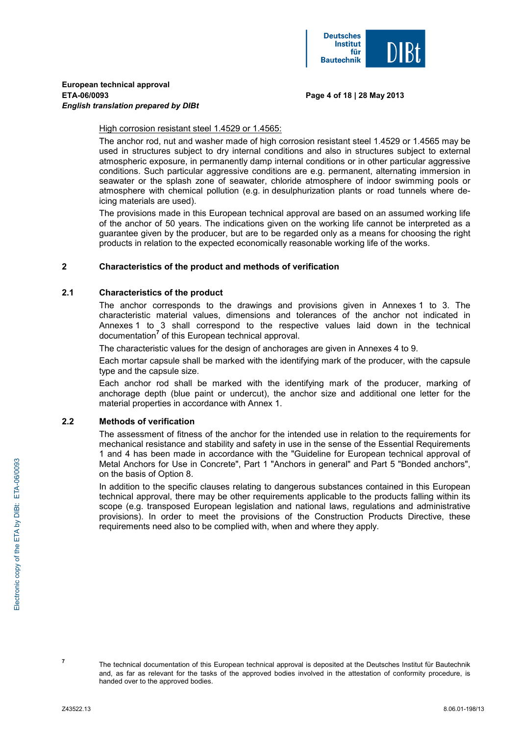

#### **Page 4 of 18 | 28 May 2013**

High corrosion resistant steel 1.4529 or 1.4565:

 The anchor rod, nut and washer made of high corrosion resistant steel 1.4529 or 1.4565 may be used in structures subject to dry internal conditions and also in structures subject to external atmospheric exposure, in permanently damp internal conditions or in other particular aggressive conditions. Such particular aggressive conditions are e.g. permanent, alternating immersion in seawater or the splash zone of seawater, chloride atmosphere of indoor swimming pools or atmosphere with chemical pollution (e.g. in desulphurization plants or road tunnels where deicing materials are used).

 The provisions made in this European technical approval are based on an assumed working life of the anchor of 50 years. The indications given on the working life cannot be interpreted as a guarantee given by the producer, but are to be regarded only as a means for choosing the right products in relation to the expected economically reasonable working life of the works.

### **2 Characteristics of the product and methods of verification**

#### **2.1 Characteristics of the product**

The anchor corresponds to the drawings and provisions given in Annexes 1 to 3. The characteristic material values, dimensions and tolerances of the anchor not indicated in Annexes 1 to 3 shall correspond to the respective values laid down in the technical documentation<sup>7</sup> of this European technical approval.

The characteristic values for the design of anchorages are given in Annexes 4 to 9.

 Each mortar capsule shall be marked with the identifying mark of the producer, with the capsule type and the capsule size.

 Each anchor rod shall be marked with the identifying mark of the producer, marking of anchorage depth (blue paint or undercut), the anchor size and additional one letter for the material properties in accordance with Annex 1.

### **2.2 Methods of verification**

The assessment of fitness of the anchor for the intended use in relation to the requirements for mechanical resistance and stability and safety in use in the sense of the Essential Requirements 1 and 4 has been made in accordance with the "Guideline for European technical approval of Metal Anchors for Use in Concrete", Part 1 "Anchors in general" and Part 5 "Bonded anchors", on the basis of Option 8.

 In addition to the specific clauses relating to dangerous substances contained in this European technical approval, there may be other requirements applicable to the products falling within its scope (e.g. transposed European legislation and national laws, regulations and administrative provisions). In order to meet the provisions of the Construction Products Directive, these requirements need also to be complied with, when and where they apply.

**7**

The technical documentation of this European technical approval is deposited at the Deutsches Institut für Bautechnik and, as far as relevant for the tasks of the approved bodies involved in the attestation of conformity procedure, is handed over to the approved bodies.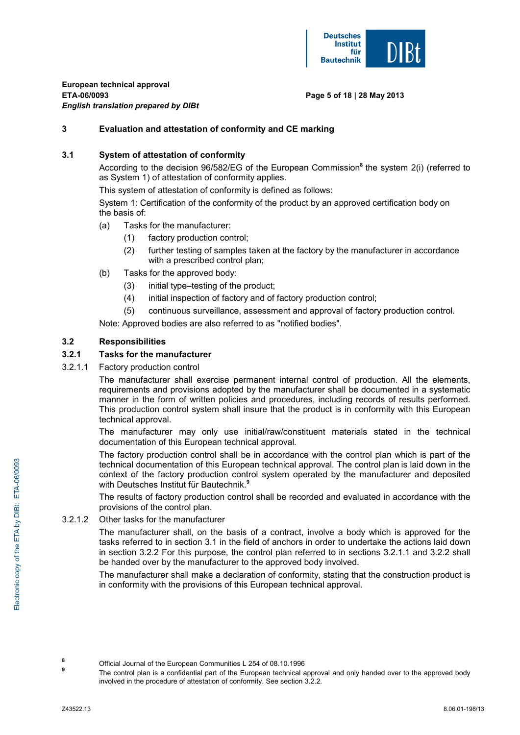

### **Page 5 of 18 | 28 May 2013**

### **3 Evaluation and attestation of conformity and CE marking**

### **3.1 System of attestation of conformity**

According to the decision 96/582/EG of the European Commission<sup>8</sup> the system 2(i) (referred to as System 1) of attestation of conformity applies.

This system of attestation of conformity is defined as follows:

System 1: Certification of the conformity of the product by an approved certification body on the basis of:

- (a) Tasks for the manufacturer:
	- (1) factory production control;
	- (2) further testing of samples taken at the factory by the manufacturer in accordance with a prescribed control plan;
- (b) Tasks for the approved body:
	- (3) initial type–testing of the product;
	- (4) initial inspection of factory and of factory production control;
	- (5) continuous surveillance, assessment and approval of factory production control.

Note: Approved bodies are also referred to as "notified bodies".

### **3.2 Responsibilities**

### **3.2.1 Tasks for the manufacturer**

3.2.1.1 Factory production control

 The manufacturer shall exercise permanent internal control of production. All the elements, requirements and provisions adopted by the manufacturer shall be documented in a systematic manner in the form of written policies and procedures, including records of results performed. This production control system shall insure that the product is in conformity with this European technical approval.

 The manufacturer may only use initial/raw/constituent materials stated in the technical documentation of this European technical approval*.*

 The factory production control shall be in accordance with the control plan which is part of the technical documentation of this European technical approval*.* The control plan is laid down in the context of the factory production control system operated by the manufacturer and deposited with Deutsches Institut für Bautechnik.**<sup>9</sup>**

 The results of factory production control shall be recorded and evaluated in accordance with the provisions of the control plan.

#### 3.2.1.2 Other tasks for the manufacturer

 The manufacturer shall, on the basis of a contract, involve a body which is approved for the tasks referred to in section 3.1 in the field of anchors in order to undertake the actions laid down in section 3.2.2 For this purpose, the control plan referred to in sections 3.2.1.1 and 3.2.2 shall be handed over by the manufacturer to the approved body involved.

 The manufacturer shall make a declaration of conformity, stating that the construction product is in conformity with the provisions of this European technical approval.

**<sup>8</sup>** Official Journal of the European Communities L 254 of 08.10.1996

**<sup>9</sup>** The control plan is a confidential part of the European technical approval and only handed over to the approved body involved in the procedure of attestation of conformity. See section 3.2.2.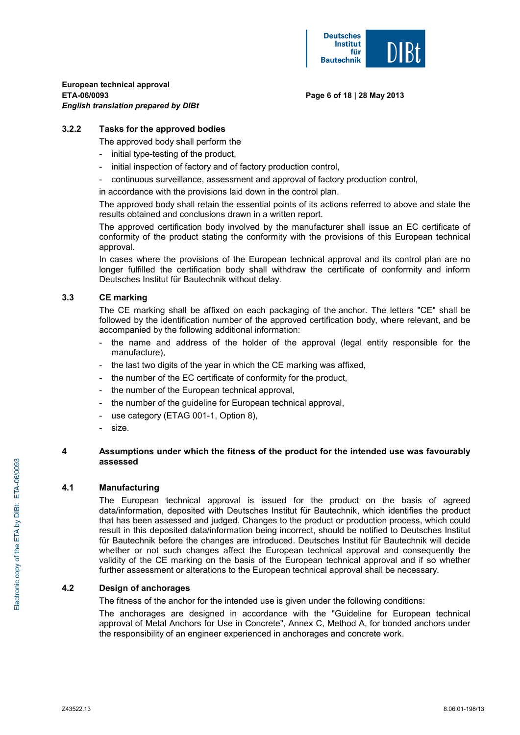

#### **Page 6 of 18 | 28 May 2013**

### **3.2.2 Tasks for the approved bodies**

The approved body shall perform the

- initial type-testing of the product,
- initial inspection of factory and of factory production control,
- continuous surveillance, assessment and approval of factory production control,

in accordance with the provisions laid down in the control plan.

 The approved body shall retain the essential points of its actions referred to above and state the results obtained and conclusions drawn in a written report.

 The approved certification body involved by the manufacturer shall issue an EC certificate of conformity of the product stating the conformity with the provisions of this European technical approval.

 In cases where the provisions of the European technical approval and its control plan are no longer fulfilled the certification body shall withdraw the certificate of conformity and inform Deutsches Institut für Bautechnik without delay.

### **3.3 CE marking**

 The CE marking shall be affixed on each packaging of the anchor. The letters "CE" shall be followed by the identification number of the approved certification body, where relevant, and be accompanied by the following additional information:

- the name and address of the holder of the approval (legal entity responsible for the manufacture),
- the last two digits of the year in which the CE marking was affixed,
- the number of the EC certificate of conformity for the product,
- the number of the European technical approval,
- the number of the guideline for European technical approval,
- use category (ETAG 001-1, Option 8),
- size.

### **4 Assumptions under which the fitness of the product for the intended use was favourably assessed**

### **4.1 Manufacturing**

 The European technical approval is issued for the product on the basis of agreed data/information, deposited with Deutsches Institut für Bautechnik, which identifies the product that has been assessed and judged. Changes to the product or production process, which could result in this deposited data/information being incorrect, should be notified to Deutsches Institut für Bautechnik before the changes are introduced. Deutsches Institut für Bautechnik will decide whether or not such changes affect the European technical approval and consequently the validity of the CE marking on the basis of the European technical approval and if so whether further assessment or alterations to the European technical approval shall be necessary.

### **4.2 Design of anchorages**

The fitness of the anchor for the intended use is given under the following conditions:

 The anchorages are designed in accordance with the "Guideline for European technical approval of Metal Anchors for Use in Concrete", Annex C, Method A, for bonded anchors under the responsibility of an engineer experienced in anchorages and concrete work.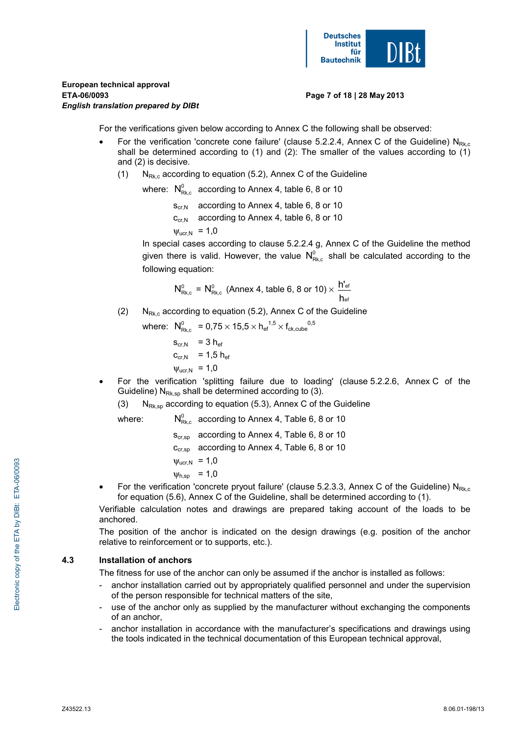

#### **Page 7 of 18 | 28 May 2013**

For the verifications given below according to Annex C the following shall be observed:

- For the verification 'concrete cone failure' (clause 5.2.2.4, Annex C of the Guideline)  $N_{Bk}$ shall be determined according to (1) and (2): The smaller of the values according to (1) and (2) is decisive.
	- (1)  $N_{Rk,c}$  according to equation (5.2), Annex C of the Guideline

where:  $N_{\text{Bkg}}^0$  according to Annex 4, table 6, 8 or 10

 $S_{cr,N}$  according to Annex 4, table 6, 8 or 10

 $C_{Cf,N}$  according to Annex 4, table 6, 8 or 10

 $\Psi_{\text{ucr.N}}$  = 1,0

In special cases according to clause 5.2.2.4 g, Annex C of the Guideline the method given there is valid. However, the value  $N_{\text{B}}^0$  shall be calculated according to the following equation:

$$
N^0_{\text{Rk},c} = N^0_{\text{Rk},c} \text{ (Annex 4, table 6, 8 or 10)} \times \frac{h^{\prime}_{\text{ef}}}{h_{\text{ef}}}
$$

(2)  $N_{Rk,c}$  according to equation (5.2), Annex C of the Guideline

 where: <sup>0</sup> NRk,c = 0,75 × 15,5 × hef 1,5 × fck,cube 0,5

 $s_{cr,N}$  = 3 h<sub>ef</sub>  $c_{cr,N}$  = 1,5 h<sub>ef</sub>  $V_{\text{ucr,N}} = 1,0$ 

• For the verification 'splitting failure due to loading' (clause 5.2.2.6, Annex C of the Guideline)  $N_{Rk,sp}$  shall be determined according to (3).

(3)  $N_{Rk,sp}$  according to equation (5.3), Annex C of the Guideline

where:  $N_{\text{max}}^0$  according to Annex 4, Table 6, 8 or 10

 $S_{cr,SD}$  according to Annex 4, Table 6, 8 or 10

c<sub>cr,sp</sub> according to Annex 4, Table 6, 8 or 10

 $W_{\text{Ucr N}} = 1,0$ 

$$
\psi_{h,sp} = 1,0
$$

For the verification 'concrete pryout failure' (clause 5.2.3.3, Annex C of the Guideline)  $N_{Rk,c}$ for equation (5.6), Annex C of the Guideline, shall be determined according to (1).

 Verifiable calculation notes and drawings are prepared taking account of the loads to be anchored.

 The position of the anchor is indicated on the design drawings (e.g. position of the anchor relative to reinforcement or to supports, etc.).

# **4.3 Installation of anchors**

The fitness for use of the anchor can only be assumed if the anchor is installed as follows:

- anchor installation carried out by appropriately qualified personnel and under the supervision of the person responsible for technical matters of the site,
- use of the anchor only as supplied by the manufacturer without exchanging the components of an anchor,
- anchor installation in accordance with the manufacturer's specifications and drawings using the tools indicated in the technical documentation of this European technical approval,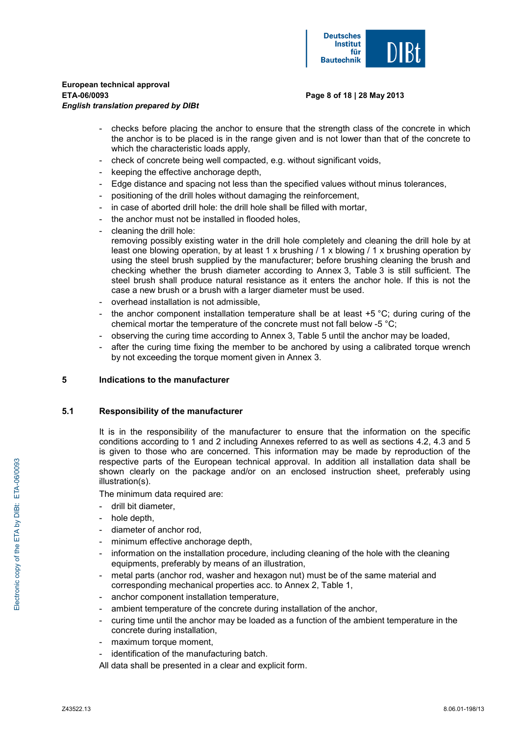

#### **Page 8 of 18 | 28 May 2013**

- checks before placing the anchor to ensure that the strength class of the concrete in which the anchor is to be placed is in the range given and is not lower than that of the concrete to which the characteristic loads apply,
- check of concrete being well compacted, e.g. without significant voids,
- keeping the effective anchorage depth.
- Edge distance and spacing not less than the specified values without minus tolerances,
- positioning of the drill holes without damaging the reinforcement,
- in case of aborted drill hole: the drill hole shall be filled with mortar,
- the anchor must not be installed in flooded holes.
- cleaning the drill hole: removing possibly existing water in the drill hole completely and cleaning the drill hole by at least one blowing operation, by at least 1 x brushing / 1 x blowing / 1 x brushing operation by using the steel brush supplied by the manufacturer; before brushing cleaning the brush and checking whether the brush diameter according to Annex 3, Table 3 is still sufficient. The steel brush shall produce natural resistance as it enters the anchor hole. If this is not the case a new brush or a brush with a larger diameter must be used.
- overhead installation is not admissible,
- the anchor component installation temperature shall be at least  $+5$  °C; during curing of the chemical mortar the temperature of the concrete must not fall below -5 °C;
- observing the curing time according to Annex 3, Table 5 until the anchor may be loaded,
- after the curing time fixing the member to be anchored by using a calibrated torque wrench by not exceeding the torque moment given in Annex 3.

### **5 Indications to the manufacturer**

### **5.1 Responsibility of the manufacturer**

 It is in the responsibility of the manufacturer to ensure that the information on the specific conditions according to 1 and 2 including Annexes referred to as well as sections 4.2, 4.3 and 5 is given to those who are concerned. This information may be made by reproduction of the respective parts of the European technical approval. In addition all installation data shall be shown clearly on the package and/or on an enclosed instruction sheet, preferably using illustration(s).

The minimum data required are:

- drill bit diameter,
- hole depth,
- diameter of anchor rod,
- minimum effective anchorage depth,
- information on the installation procedure, including cleaning of the hole with the cleaning equipments, preferably by means of an illustration,
- metal parts (anchor rod, washer and hexagon nut) must be of the same material and corresponding mechanical properties acc. to Annex 2, Table 1,
- anchor component installation temperature,
- ambient temperature of the concrete during installation of the anchor,
- curing time until the anchor may be loaded as a function of the ambient temperature in the concrete during installation,
- maximum torque moment,
- identification of the manufacturing batch.
- All data shall be presented in a clear and explicit form.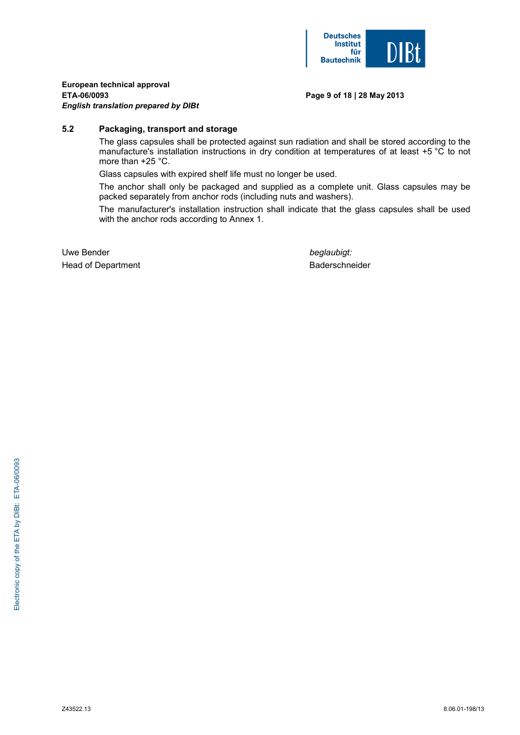

#### **Page 9 of 18 | 28 May 2013**

### **5.2 Packaging, transport and storage**

 The glass capsules shall be protected against sun radiation and shall be stored according to the manufacture's installation instructions in dry condition at temperatures of at least +5 °C to not more than +25 °C.

Glass capsules with expired shelf life must no longer be used.

 The anchor shall only be packaged and supplied as a complete unit. Glass capsules may be packed separately from anchor rods (including nuts and washers).

 The manufacturer's installation instruction shall indicate that the glass capsules shall be used with the anchor rods according to Annex 1.

Uwe Bender **beglaubigt: beglaubigt: beglaubigt:** Head of Department **Baderschneider** Baderschneider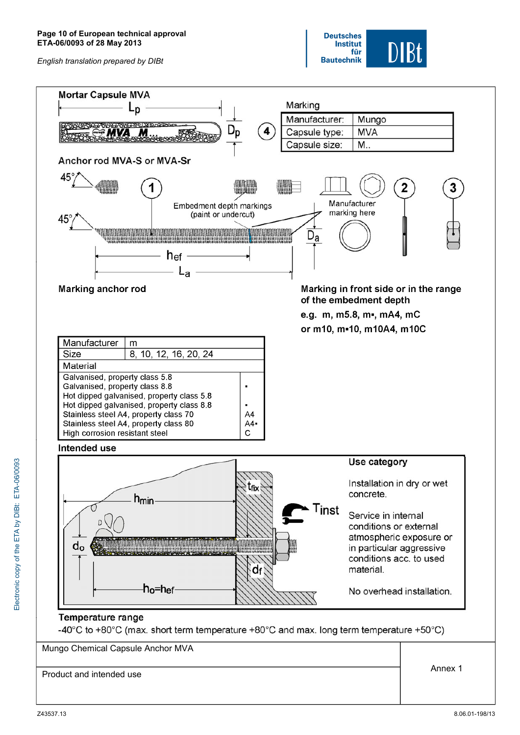

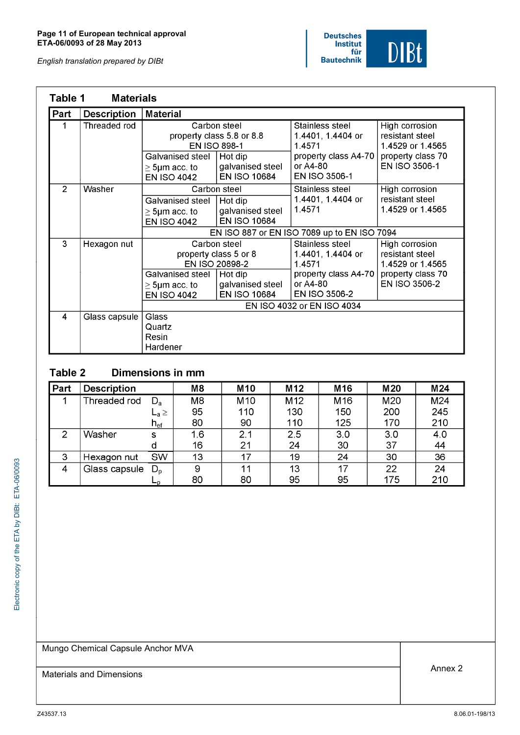

| Table 1        | <b>Materials</b>   |                                                                                                                                                                        |                                                                    |                                                                                                                                   |                                                                                             |
|----------------|--------------------|------------------------------------------------------------------------------------------------------------------------------------------------------------------------|--------------------------------------------------------------------|-----------------------------------------------------------------------------------------------------------------------------------|---------------------------------------------------------------------------------------------|
| Part           | <b>Description</b> | <b>Material</b>                                                                                                                                                        |                                                                    |                                                                                                                                   |                                                                                             |
|                | Threaded rod       |                                                                                                                                                                        | Carbon steel<br>property class 5.8 or 8.8<br><b>EN ISO 898-1</b>   | Stainless steel<br>1.4401, 1.4404 or<br>1.4571                                                                                    | High corrosion<br>resistant steel<br>1.4529 or 1.4565                                       |
|                |                    | Galvanised steel<br>$\geq$ 5µm acc. to<br><b>EN ISO 4042</b>                                                                                                           | Hot dip<br>galvanised steel<br>EN ISO 10684                        | property class A4-70<br>or A4-80<br>EN ISO 3506-1                                                                                 | property class 70<br>EN ISO 3506-1                                                          |
| $\overline{2}$ | Washer             | Galvanised steel<br>$\geq$ 5µm acc. to<br><b>EN ISO 4042</b>                                                                                                           | Carbon steel<br>Hot dip<br>galvanised steel<br><b>EN ISO 10684</b> | Stainless steel<br>1.4401, 1.4404 or<br>1.4571<br>EN ISO 887 or EN ISO 7089 up to EN ISO 7094                                     | High corrosion<br>resistant steel<br>1.4529 or 1.4565                                       |
| 3              | Hexagon nut        | Carbon steel<br>property class 5 or 8<br>EN ISO 20898-2<br>Galvanised steel<br>Hot dip<br>galvanised steel<br>$\geq$ 5µm acc. to<br>EN ISO 10684<br><b>EN ISO 4042</b> |                                                                    | Stainless steel<br>1.4401, 1.4404 or<br>1.4571<br>property class A4-70<br>or A4-80<br>EN ISO 3506-2<br>EN ISO 4032 or EN ISO 4034 | High corrosion<br>resistant steel<br>1.4529 or 1.4565<br>property class 70<br>EN ISO 3506-2 |
| 4              | Glass capsule      | Glass<br>Quartz<br>Resin<br>Hardener                                                                                                                                   |                                                                    |                                                                                                                                   |                                                                                             |

#### Table 2 Dimensions in mm

| Part | <b>Description</b> |                                  | M <sub>8</sub> | M <sub>10</sub> | M <sub>12</sub> | M <sub>16</sub> | M <sub>20</sub> | M24 |
|------|--------------------|----------------------------------|----------------|-----------------|-----------------|-----------------|-----------------|-----|
| ◀    | Threaded rod       | $\mathsf{D}_{\mathsf{a}}$        | M <sub>8</sub> | M <sub>10</sub> | M <sub>12</sub> | M <sub>16</sub> | M20             | M24 |
|      |                    | $\mathsf{L}_{\mathsf{a}}$ $\geq$ | 95             | 110             | 130             | 150             | 200             | 245 |
|      |                    | $\mathsf{h}_{\mathsf{ef}}$       | 80             | 90              | 110             | 125             | 170             | 210 |
| 2    | Washer             | s                                | 1.6            | 2.1             | 2.5             | 3.0             | 3.0             | 4.0 |
|      |                    | d                                | 16             | 21              | 24              | 30              | 37              | 44  |
| 3    | Hexagon nut        | <b>SW</b>                        | 13             | 17              | 19              | 24              | 30              | 36  |
| 4    | Glass capsule      | $D_{\rm o}$                      | 9              | 11              | 13              | 17              | 22              | 24  |
|      |                    | ட∌                               | 80             | 80              | 95              | 95              | 175             | 210 |

Mungo Chemical Capsule Anchor MVA

Materials and Dimensions **Annex 2** Annex 2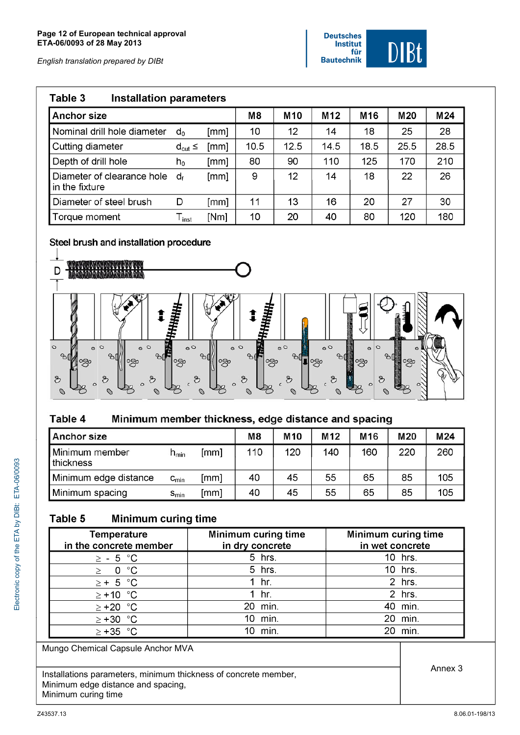

| Table 3                                      | <b>Installation parameters</b> |      |      |                 |      |                 |                 |                 |  |  |  |  |
|----------------------------------------------|--------------------------------|------|------|-----------------|------|-----------------|-----------------|-----------------|--|--|--|--|
| <b>Anchor size</b>                           |                                |      | M8   | M <sub>10</sub> | M12  | M <sub>16</sub> | M <sub>20</sub> | M <sub>24</sub> |  |  |  |  |
| Nominal drill hole diameter                  | $d_0$                          | [mm] | 10   | 12              | 14   | 18              | 25              | 28              |  |  |  |  |
| Cutting diameter                             | $d_{\text{cut}} \leq$          | [mm] | 10.5 | 12.5            | 14.5 | 18.5            | 25.5            | 28.5            |  |  |  |  |
| Depth of drill hole                          | $h_0$                          | [mm] | 80   | 90              | 110  | 125             | 170             | 210             |  |  |  |  |
| Diameter of clearance hole<br>in the fixture | d٠                             | [mm] | 9    | 12              | 14   | 18              | 22              | 26              |  |  |  |  |
| Diameter of steel brush                      | D                              | [mm] | 11   | 13              | 16   | 20              | 27              | 30              |  |  |  |  |
| Torque moment                                | $\mathsf{T}_{\mathsf{inst}}$   | [Nm] | 10   | 20              | 40   | 80              | 120             | 180             |  |  |  |  |

# Steel brush and installation procedure



#### Table 4 Minimum member thickness, edge distance and spacing

| <b>Anchor size</b>          |                  |      | M <sub>8</sub> | M <sub>10</sub> | M12 | M <sub>16</sub> | M20 | M24 |
|-----------------------------|------------------|------|----------------|-----------------|-----|-----------------|-----|-----|
| Minimum member<br>thickness | $h_{min}$        | [mm] | 110            | 120             | 140 | 160             | 220 | 260 |
| Minimum edge distance       | $c_{\text{min}}$ | [mm] | 40             | 45              | 55  | 65              | 85  | 105 |
| Minimum spacing             | $S_{min}$        | [mm] | 40             | 45              | 55  | 65              | 85  | 105 |

#### **Minimum curing time** Table 5

| <b>Temperature</b><br>in the concrete member | Minimum curing time<br>in dry concrete | Minimum curing time<br>in wet concrete |
|----------------------------------------------|----------------------------------------|----------------------------------------|
| $\geq$ - 5 °C                                | 5 hrs.                                 | 10 hrs.                                |
| 0 °C<br>$\geq$                               | 5 hrs.                                 | 10 hrs.                                |
| $\geq$ + 5 °C                                | hr.                                    | 2 hrs.                                 |
| $\ge +10$ °C                                 | hr.                                    | 2 hrs.                                 |
| $\geq$ +20 $^{\circ}$ C                      | 20 min.                                | 40 min.                                |
| $\ge +30$ °C                                 | 10 min.                                | min.<br>20.                            |
| $\geq$ +35 °C                                | min.                                   | min.                                   |

Mungo Chemical Capsule Anchor MVA

Installations parameters, minimum thickness of concrete member, Minimum edge distance and spacing, Minimum curing time

Annex 3

Electronic copy of the ETA by DIBt: ETA-06/0093

Electronic copy of the ETA by DIBt: ETA-06/0093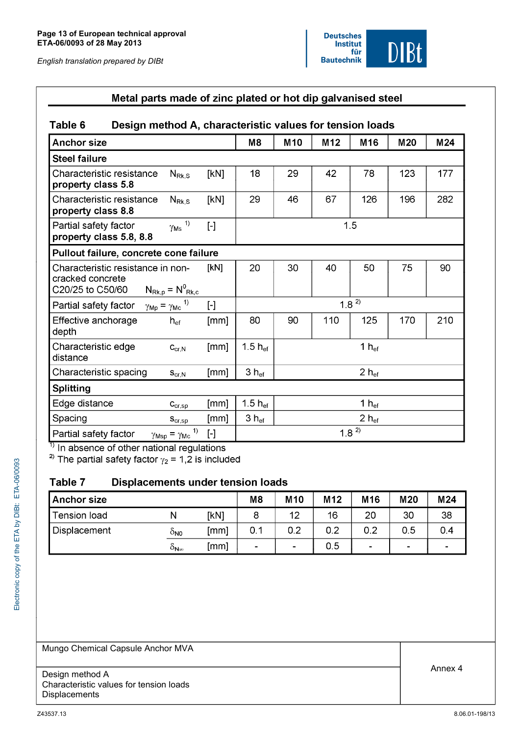

| Metal parts made of zinc plated or hot dip galvanised steel                                                           |                                                                                                                                                                                                                                                                                                                                                                                                                                                                                                                                                                                                     |                     |                 |                 |                   |     |     |
|-----------------------------------------------------------------------------------------------------------------------|-----------------------------------------------------------------------------------------------------------------------------------------------------------------------------------------------------------------------------------------------------------------------------------------------------------------------------------------------------------------------------------------------------------------------------------------------------------------------------------------------------------------------------------------------------------------------------------------------------|---------------------|-----------------|-----------------|-------------------|-----|-----|
| Table 6<br>Design method A, characteristic values for tension loads                                                   |                                                                                                                                                                                                                                                                                                                                                                                                                                                                                                                                                                                                     |                     |                 |                 |                   |     |     |
| <b>Anchor size</b>                                                                                                    |                                                                                                                                                                                                                                                                                                                                                                                                                                                                                                                                                                                                     | M <sub>8</sub>      | M <sub>10</sub> | M <sub>12</sub> | M16               | M20 | M24 |
| <b>Steel failure</b>                                                                                                  |                                                                                                                                                                                                                                                                                                                                                                                                                                                                                                                                                                                                     |                     |                 |                 |                   |     |     |
| Characteristic resistance<br>$N_{\rm Rk.S}$<br>property class 5.8                                                     | [kN]                                                                                                                                                                                                                                                                                                                                                                                                                                                                                                                                                                                                | 18                  | 29              | 42              | 78                | 123 | 177 |
| Characteristic resistance<br>$N_{\mathsf{Rk},\mathsf{S}}$<br>property class 8.8                                       | [kN]                                                                                                                                                                                                                                                                                                                                                                                                                                                                                                                                                                                                | 29                  | 46              | 67              | 126               | 196 | 282 |
| $\gamma_{\rm Ms}$ 1)<br>Partial safety factor<br>property class 5.8, 8.8                                              | $[\cdot]$                                                                                                                                                                                                                                                                                                                                                                                                                                                                                                                                                                                           | 1.5                 |                 |                 |                   |     |     |
| Pullout failure, concrete cone failure                                                                                |                                                                                                                                                                                                                                                                                                                                                                                                                                                                                                                                                                                                     |                     |                 |                 |                   |     |     |
| Characteristic resistance in non-<br>cracked concrete<br>$N_{\text{Rk},p} = N_{\text{Rk},c}^0$<br>C20/25 to C50/60    | [kN]                                                                                                                                                                                                                                                                                                                                                                                                                                                                                                                                                                                                | 20                  | 30              | 40              | 50                | 75  | 90  |
| $\gamma_{\text{Mp}} = \gamma_{\text{Mc}}^{-1}$<br>Partial safety factor                                               | $\lbrack - \rbrack$                                                                                                                                                                                                                                                                                                                                                                                                                                                                                                                                                                                 |                     |                 |                 | $1.8^{2}$         |     |     |
| Effective anchorage<br>$h_{\text{ef}}$<br>depth                                                                       | [mm]                                                                                                                                                                                                                                                                                                                                                                                                                                                                                                                                                                                                | 80                  | 90              | 110             | 125               | 170 | 210 |
| Characteristic edge<br>$C_{\text{cr},\text{N}}$<br>distance                                                           | [mm]                                                                                                                                                                                                                                                                                                                                                                                                                                                                                                                                                                                                | $1.5 h_{ef}$        |                 |                 | 1 $h_{\text{ef}}$ |     |     |
| Characteristic spacing<br>$S_{\text{cr,N}}$                                                                           | [mm]                                                                                                                                                                                                                                                                                                                                                                                                                                                                                                                                                                                                | $3 h_{ef}$          |                 |                 | $2 h_{ef}$        |     |     |
| <b>Splitting</b>                                                                                                      |                                                                                                                                                                                                                                                                                                                                                                                                                                                                                                                                                                                                     |                     |                 |                 |                   |     |     |
| Edge distance<br>$C_{cr,sp}$                                                                                          | [mm]                                                                                                                                                                                                                                                                                                                                                                                                                                                                                                                                                                                                | 1.5 $h_{\text{ef}}$ |                 |                 | 1 $h_{\text{ef}}$ |     |     |
| Spacing<br>$S_{cr,sp}$                                                                                                | [mm]                                                                                                                                                                                                                                                                                                                                                                                                                                                                                                                                                                                                | $3 h_{\text{ef}}$   |                 |                 | $2 h_{\text{ef}}$ |     |     |
| $\left( \begin{matrix} 1 \end{matrix} \right)$<br>Partial safety factor<br>$\gamma_{\text{Msp}} = \gamma_{\text{Mc}}$ | $\left[ -\right] % \includegraphics[width=0.9\columnwidth]{figures/fig_2b.pdf} \caption{The graph $\mathcal{N}_1$ is a function of the parameter $\mathcal{N}_1$ and $\mathcal{N}_2$ is a function of the parameter $\mathcal{N}_1$ and $\mathcal{N}_2$ is a function of the parameter $\mathcal{N}_1$ and $\mathcal{N}_2$ is a function of the parameter $\mathcal{N}_1$ and $\mathcal{N}_2$ is a function of the parameter $\mathcal{N}_1$ and $\mathcal{N}_2$ is a function of the parameter $\mathcal{N}_1$ and $\mathcal{N}_2$ is a function of the parameter $\mathcal{N}_1$.} \label{fig:1}$ |                     |                 |                 | $1.8^{2}$         |     |     |

<sup>1)</sup> In absence of other national regulations<br><sup>2)</sup> The partial safety factor  $\gamma_2$  = 1,2 is included

#### Table 7 Displacements under tension loads

| <b>Anchor size</b>  |                             |      | M <sub>8</sub> | M <sub>10</sub> | M <sub>12</sub> | M <sub>16</sub> | M20            | M24                      |
|---------------------|-----------------------------|------|----------------|-----------------|-----------------|-----------------|----------------|--------------------------|
| Fension load        | N                           | [kN] |                | 12              | 16              | 20              | 30             | 38                       |
| <b>Displacement</b> | ÒNO                         | [mm] | 0.1            | 0.2             | 0.2             | 0.2             | 0.5            | 0.4                      |
|                     | $\delta_{\mathsf{N}\infty}$ | [mm] | $\blacksquare$ | $\blacksquare$  | 0.5             | $\blacksquare$  | $\blacksquare$ | $\overline{\phantom{0}}$ |

Mungo Chemical Capsule Anchor MVA

Design method A Characteristic values for tension loads Displacements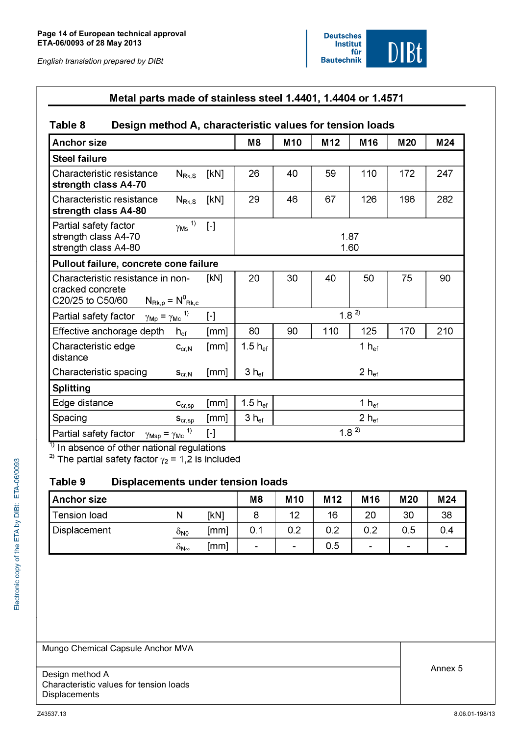

# Metal parts made of stainless steel 1.4401, 1.4404 or 1.4571

#### Design method A, characteristic values for tension loads Table 8

| <b>Anchor size</b>                                                                                                   |                                                                                                                                                                                                                                                                                                                                                                                                                                                                                                                                | M <sub>8</sub>    | M <sub>10</sub>   | M12 | M16               | M20 | M24 |
|----------------------------------------------------------------------------------------------------------------------|--------------------------------------------------------------------------------------------------------------------------------------------------------------------------------------------------------------------------------------------------------------------------------------------------------------------------------------------------------------------------------------------------------------------------------------------------------------------------------------------------------------------------------|-------------------|-------------------|-----|-------------------|-----|-----|
| <b>Steel failure</b>                                                                                                 |                                                                                                                                                                                                                                                                                                                                                                                                                                                                                                                                |                   |                   |     |                   |     |     |
| Characteristic resistance<br>$N_{\rm Rk,S}$<br>strength class A4-70                                                  | [kN]                                                                                                                                                                                                                                                                                                                                                                                                                                                                                                                           | 26                | 40                | 59  | 110               | 172 | 247 |
| Characteristic resistance<br>$N_{\rm Rk,S}$<br>strength class A4-80                                                  | [kN]                                                                                                                                                                                                                                                                                                                                                                                                                                                                                                                           | 29                | 46                | 67  | 126               | 196 | 282 |
| $\gamma_{\mathsf{Ms}}$ <sup>1)</sup><br>Partial safety factor<br>strength class A4-70<br>strength class A4-80        | $[\cdot]$                                                                                                                                                                                                                                                                                                                                                                                                                                                                                                                      | 1.87<br>1.60      |                   |     |                   |     |     |
| Pullout failure, concrete cone failure                                                                               |                                                                                                                                                                                                                                                                                                                                                                                                                                                                                                                                |                   |                   |     |                   |     |     |
| Characteristic resistance in non-<br>cracked concrete<br>$N_{\text{Rk},p} = N_{\text{Rk},c}^{0}$<br>C20/25 to C50/60 | [kN]                                                                                                                                                                                                                                                                                                                                                                                                                                                                                                                           | 20                | 30                | 40  | 50                | 75  | 90  |
| $\gamma_{\text{Mp}} = \gamma_{\text{Mc}}^{-1}$<br>Partial safety factor                                              | $\left[ -\right] % \includegraphics[width=0.9\columnwidth]{figures/2000.pdf} \caption{The graph $\mathcal{N}_1$ is a function of the parameter $\mathcal{N}_1$ and $\mathcal{N}_2$ is a function of the parameter $\mathcal{N}_1$ and $\mathcal{N}_2$ is a function of the parameter $\mathcal{N}_1$ and $\mathcal{N}_2$ is a function of the parameter $\mathcal{N}_1$ and $\mathcal{N}_2$ is a function of the parameter $\mathcal{N}_1$ and $\mathcal{N}_2$ is a function of the parameter $\mathcal{N}_1$.} \label{fig:1}$ |                   |                   |     | $1.8^{2}$         |     |     |
| Effective anchorage depth<br>$h_{\mathrm{ef}}$                                                                       | [mm]                                                                                                                                                                                                                                                                                                                                                                                                                                                                                                                           | 80                | 90                | 110 | 125               | 170 | 210 |
| Characteristic edge<br>$\mathsf{C}_{\text{cr},\mathsf{N}}$<br>distance                                               | [mm]                                                                                                                                                                                                                                                                                                                                                                                                                                                                                                                           | 1.5 $h_{ef}$      |                   |     | 1 $h_{\rm ef}$    |     |     |
| Characteristic spacing<br>$S_{\text{cr},N}$                                                                          | [mm]                                                                                                                                                                                                                                                                                                                                                                                                                                                                                                                           | $3 h_{\text{ef}}$ |                   |     | $2 h_{ef}$        |     |     |
| <b>Splitting</b>                                                                                                     |                                                                                                                                                                                                                                                                                                                                                                                                                                                                                                                                |                   |                   |     |                   |     |     |
| Edge distance<br>$\mathbf{C}_{\text{cr,sp}}$                                                                         | [mm]                                                                                                                                                                                                                                                                                                                                                                                                                                                                                                                           | 1.5 $h_{ef}$      | 1 $h_{\text{ef}}$ |     |                   |     |     |
| Spacing<br>$S_{cr,sp}$                                                                                               | [mm]                                                                                                                                                                                                                                                                                                                                                                                                                                                                                                                           | $3 h_{\text{ef}}$ |                   |     | $2 h_{\text{ef}}$ |     |     |
| Partial safety factor<br>$\gamma_{\mathsf{Msp}} = \gamma_{\mathsf{Mc}}$                                              | 1)<br>$\left[ -\right] % \begin{minipage}[b]{.45\linewidth} \centering \includegraphics[width=\linewidth]{images/Example_14]{Example_144m1.png} \caption{The image shows the number of times of the number of times.} \label{fig:Example_144m1.png} \end{minipage} \vspace{0.05\linewidth} \label{fig:Example_144m1.png}$                                                                                                                                                                                                      |                   |                   |     | $1.8^{2}$         |     |     |

<sup>1)</sup> In absence of other national regulations<br><sup>2)</sup> The partial safety factor  $\gamma_2$  = 1,2 is included

#### Table 9 **Displacements under tension loads**

| <b>Anchor size</b>  |                             |      | M <sub>8</sub>           | M <sub>10</sub> | M <sub>12</sub> | M <sub>16</sub> | M20 | M24                      |
|---------------------|-----------------------------|------|--------------------------|-----------------|-----------------|-----------------|-----|--------------------------|
| <b>Tension load</b> |                             | [kN] |                          | 12              | 16              | 20              | 30  | 38                       |
| Displacement        | ONO                         | [mm] | 0.1                      | 0.2             | 0.2             | 0.2             | 0.5 | 0.4                      |
|                     | $\delta_{\mathsf{N}\infty}$ | [mm] | $\overline{\phantom{0}}$ | ۰               | 0.5             | ۰               | -   | $\overline{\phantom{0}}$ |

Mungo Chemical Capsule Anchor MVA

Design method A Characteristic values for tension loads Displacements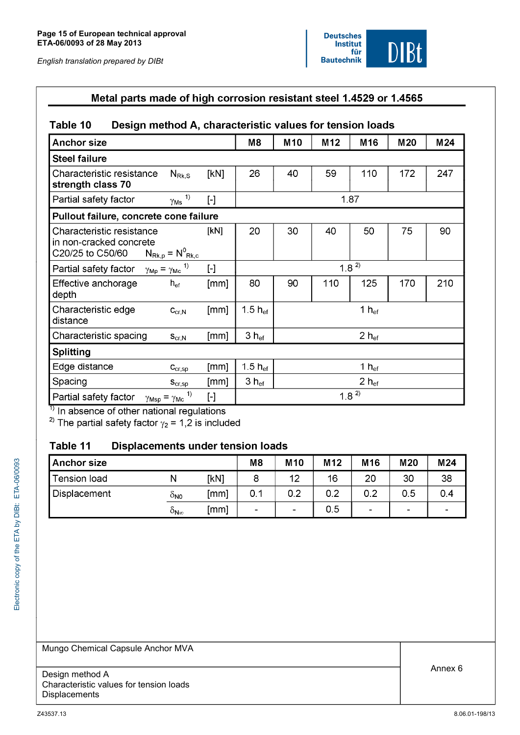

| <b>Anchor size</b>                                                       |                                                |                     | M8                  | M <sub>10</sub>   | M <sub>12</sub> | M16               | M <sub>20</sub> | M24 |  |
|--------------------------------------------------------------------------|------------------------------------------------|---------------------|---------------------|-------------------|-----------------|-------------------|-----------------|-----|--|
| <b>Steel failure</b>                                                     |                                                |                     |                     |                   |                 |                   |                 |     |  |
| Characteristic resistance<br>strength class 70                           | $N_{\mathsf{Rk},\mathsf{S}}$                   | [KN]                | 26                  | 40                | 59              | 110               | 172             | 247 |  |
| Partial safety factor                                                    | $\frac{\gamma_{\text{Ms}}}{\gamma}$            | $[\cdot]$           | 1.87                |                   |                 |                   |                 |     |  |
| Pullout failure, concrete cone failure                                   |                                                |                     |                     |                   |                 |                   |                 |     |  |
| Characteristic resistance<br>in non-cracked concrete<br>C20/25 to C50/60 | $N_{\text{Rk},p} = N^0_{\text{Rk},c}$          | [kN]                | 20                  | 30                | 40              | 50                | 75              | 90  |  |
| Partial safety factor                                                    | $\gamma_{\text{Mp}} = \gamma_{\text{Mc}}^{-1}$ | $\mathbf{F}$        |                     |                   |                 | $1.8^{2}$         |                 |     |  |
| Effective anchorage<br>depth                                             | ${\sf h}_{\sf ef}$                             | [mm]                | 80                  | 90                | 110             | 125               | 170             | 210 |  |
| Characteristic edge<br>distance                                          | $C_{\text{cr},\text{N}}$                       | [mm]                | 1.5 $h_{\text{ef}}$ | 1 $h_{\text{ef}}$ |                 |                   |                 |     |  |
| Characteristic spacing                                                   | $S_{\text{cr},\text{N}}$                       | [mm]                | $3 h_{\text{ef}}$   |                   |                 | $2 h_{\text{ef}}$ |                 |     |  |
| <b>Splitting</b>                                                         |                                                |                     |                     |                   |                 |                   |                 |     |  |
| Edge distance                                                            | $\mathbf{C}_{\text{cr,sp}}$                    | [mm]                | 1.5 $h_{\text{ef}}$ |                   |                 | 1 $h_{\rm ef}$    |                 |     |  |
| Spacing                                                                  | $S_{cr,sp}$                                    | [mm]                | $3 h_{\text{ef}}$   |                   |                 | $2 h_{\text{ef}}$ |                 |     |  |
| Partial safety factor<br>$\gamma_{\mathsf{Msp}} = \gamma_{\mathsf{Mc}}$  | 1)                                             | $\lbrack - \rbrack$ |                     |                   |                 | $1.8^{2}$         |                 |     |  |

<sup>1)</sup> In absence of other national regulations<br><sup>2)</sup> The partial safety factor  $\gamma_2 = 1,2$  is included

#### Displacements under tension loads Table 11

| Anchor size  |                   |      | M8  | M <sub>10</sub> | M <sub>12</sub> | M <sub>16</sub> | M20  | M24 |
|--------------|-------------------|------|-----|-----------------|-----------------|-----------------|------|-----|
| Tension load | N                 | [kN] |     | 12              | 16              | 20              | 30   | 38  |
| Displacement | ONO               | [mm] | 0.1 | 0.2             | 0.2             | 0.2             | 0.5  | 0.4 |
|              | $O_{\sf N\infty}$ | [mm] |     | -               | 0.5             | $\sim$          | $\,$ | -   |

Mungo Chemical Capsule Anchor MVA

Design method A Characteristic values for tension loads Displacements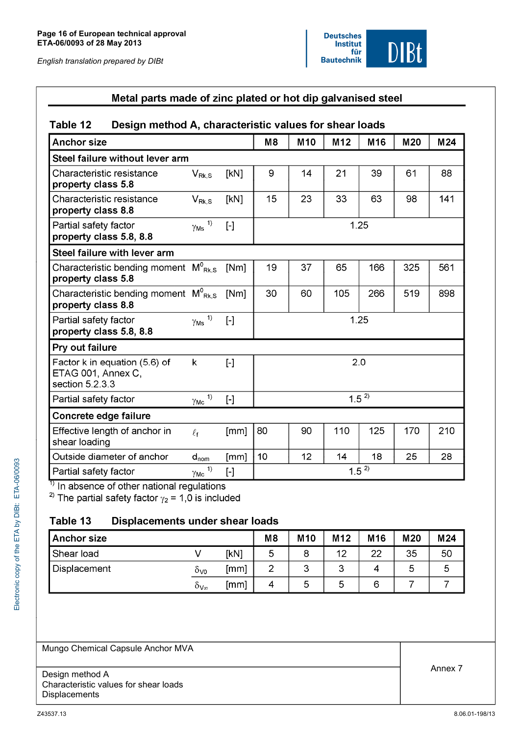

#### Metal parts made of zinc plated or hot dip galvanised steel Table 12 Design method A, characteristic values for shear loads **Anchor size**  $M8$ M<sub>10</sub>  $M12$ M<sub>16</sub> M20  $M<sub>24</sub>$ Steel failure without lever arm Characteristic resistance  $V_{\mathsf{Rk},\mathsf{S}}$ [kN] 9 14 21 39 61 88 property class 5.8 Characteristic resistance [kN] 15 23 33 63 98 141  $\mathsf{V}_{\mathsf{Rk}.\mathsf{S}}$ property class 8.8  $\overline{\gamma_{\mathsf{Ms}}}$ <sup>1)</sup> Partial safety factor  $1.25$  $[\cdot]$ property class 5.8, 8.8 Steel failure with lever arm Characteristic bending moment  $M^0_{Rk, S}$  $[Nm]$ 19 37 65 166 325 561 property class 5.8 Characteristic bending moment  $M^0_{Rk, S}$ [Nm] 30 519 898 60 105 266 property class 8.8  $\overline{\gamma_{\mathsf{Ms}}}$ <sup>1)</sup> Partial safety factor  $1.25$  $[ - ]$ property class 5.8, 8.8 Pry out failure Factor k in equation (5.6) of  $\mathsf{k}$  $2.0$  $\lceil - \rceil$ ETAG 001, Annex C, section 5.2.3.3  $\gamma_{\text{Mc}}$ <sup>1)</sup>  $1.5^{2}$ Partial safety factor  $[\cdot]$ Concrete edge failure 80 90 Effective length of anchor in  $[mm]$ 110 125 210  $\ell_{\mathsf{f}}$ 170 shear loading Outside diameter of anchor  $10$  $14$ 25  $[mm]$  $12$ 18 28  $d_{nom}$  $1.5^{2}$  $\gamma_{\mathsf{Mc}}$ <sup>1)</sup> Partial safety factor  $[\cdot]$  $\overline{1}$  In absence of other national regulations

<sup>2)</sup> The partial safety factor  $\gamma_2$  = 1,0 is included

#### Table 13 **Displacements under shear loads**

| <b>Anchor size</b> |                             |      | M <sub>8</sub> | M <sub>10</sub> | M <sub>12</sub> | M <sub>16</sub> | M20 | M24 |
|--------------------|-----------------------------|------|----------------|-----------------|-----------------|-----------------|-----|-----|
| Shear load         |                             | [kN] | 5              | 8               | 12              | つつ              | 35  | 50  |
| Displacement       | 0vo                         | [mm] |                | 3               | ຊ<br>ت          |                 | 5   |     |
|                    | $\delta_{\mathsf{V}\infty}$ | [mm] | 4              | 5               | 5               |                 |     |     |

Mungo Chemical Capsule Anchor MVA

Design method A Characteristic values for shear loads **Displacements**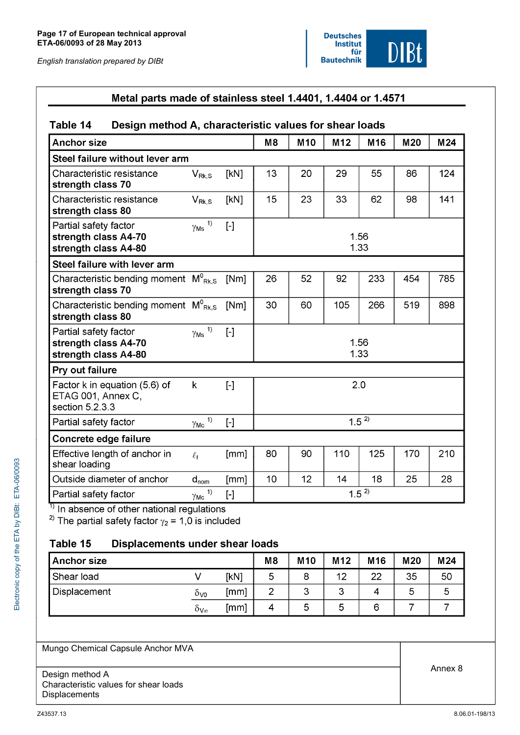

# Metal parts made of stainless steel 1.4401, 1.4404 or 1.4571

#### Design method A, characteristic values for shear loads Table 14

| <b>Anchor size</b>                                                     |                              |                                                                                                                                                                                                                                                                                                                                                                                                                                                                                                                                                                                                     | M8           | <b>M10</b> | M12 | M16 | M20 | M24 |
|------------------------------------------------------------------------|------------------------------|-----------------------------------------------------------------------------------------------------------------------------------------------------------------------------------------------------------------------------------------------------------------------------------------------------------------------------------------------------------------------------------------------------------------------------------------------------------------------------------------------------------------------------------------------------------------------------------------------------|--------------|------------|-----|-----|-----|-----|
| Steel failure without lever arm                                        |                              |                                                                                                                                                                                                                                                                                                                                                                                                                                                                                                                                                                                                     |              |            |     |     |     |     |
| Characteristic resistance<br>strength class 70                         | $V_{\mathsf{Rk}.\mathsf{S}}$ | [kN]                                                                                                                                                                                                                                                                                                                                                                                                                                                                                                                                                                                                | 13           | 20         | 29  | 55  | 86  | 124 |
| Characteristic resistance<br>strength class 80                         | $V_{\mathsf{Rk},\mathsf{S}}$ | [kN]                                                                                                                                                                                                                                                                                                                                                                                                                                                                                                                                                                                                | 15           | 23         | 33  | 62  | 98  | 141 |
| Partial safety factor<br>strength class A4-70<br>strength class A4-80  | 1)<br>$\gamma_{\mathsf{Ms}}$ | $\left[\begin{smallmatrix} -\end{smallmatrix}\right]$                                                                                                                                                                                                                                                                                                                                                                                                                                                                                                                                               | 1.56<br>1.33 |            |     |     |     |     |
| Steel failure with lever arm                                           |                              |                                                                                                                                                                                                                                                                                                                                                                                                                                                                                                                                                                                                     |              |            |     |     |     |     |
| Characteristic bending moment $M^0_{Rk, S}$<br>strength class 70       |                              | [Nm]                                                                                                                                                                                                                                                                                                                                                                                                                                                                                                                                                                                                | 26           | 52         | 92  | 233 | 454 | 785 |
| Characteristic bending moment $M^0_{Rk, S}$<br>strength class 80       |                              | [Nm]                                                                                                                                                                                                                                                                                                                                                                                                                                                                                                                                                                                                | 30           | 60         | 105 | 266 | 519 | 898 |
| Partial safety factor<br>strength class A4-70<br>strength class A4-80  | 1)<br>$\gamma_{\mathsf{Ms}}$ |                                                                                                                                                                                                                                                                                                                                                                                                                                                                                                                                                                                                     | 1.56<br>1.33 |            |     |     |     |     |
| Pry out failure                                                        |                              |                                                                                                                                                                                                                                                                                                                                                                                                                                                                                                                                                                                                     |              |            |     |     |     |     |
| Factor k in equation (5.6) of<br>ETAG 001, Annex C,<br>section 5.2.3.3 | k                            | $[\cdot]$                                                                                                                                                                                                                                                                                                                                                                                                                                                                                                                                                                                           | 2.0          |            |     |     |     |     |
| Partial safety factor                                                  | 1)<br>$\gamma_{\mathsf{Mc}}$ | $\left[ -\right] % \includegraphics[width=0.9\columnwidth]{figures/fig_2b.pdf} \caption{The graph $\mathcal{N}_1$ is a function of the parameter $\mathcal{N}_1$ and $\mathcal{N}_2$ is a function of the parameter $\mathcal{N}_1$ and $\mathcal{N}_2$ is a function of the parameter $\mathcal{N}_1$ and $\mathcal{N}_2$ is a function of the parameter $\mathcal{N}_1$ and $\mathcal{N}_2$ is a function of the parameter $\mathcal{N}_1$ and $\mathcal{N}_2$ is a function of the parameter $\mathcal{N}_1$ and $\mathcal{N}_2$ is a function of the parameter $\mathcal{N}_1$.} \label{fig:1}$ | $1.5^{2}$    |            |     |     |     |     |
| Concrete edge failure                                                  |                              |                                                                                                                                                                                                                                                                                                                                                                                                                                                                                                                                                                                                     |              |            |     |     |     |     |
| Effective length of anchor in<br>shear loading                         | $\ell_{\mathsf{f}}$          | [mm]                                                                                                                                                                                                                                                                                                                                                                                                                                                                                                                                                                                                | 80           | 90         | 110 | 125 | 170 | 210 |
| Outside diameter of anchor                                             | $d_{nom}$                    | [mm]                                                                                                                                                                                                                                                                                                                                                                                                                                                                                                                                                                                                | 10           | 12         | 14  | 18  | 25  | 28  |
| Partial safety factor                                                  | 1)<br>$\gamma_{\mathsf{Mc}}$ | $\left[ -\right] % \includegraphics[width=0.9\columnwidth]{figures/fig_2b.pdf} \caption{The graph $\mathcal{N}_1$ is a function of the parameter $\mathcal{N}_1$ and $\mathcal{N}_2$ is a function of the parameter $\mathcal{N}_1$ and $\mathcal{N}_2$ is a function of the parameter $\mathcal{N}_1$ and $\mathcal{N}_2$ is a function of the parameter $\mathcal{N}_1$ and $\mathcal{N}_2$ is a function of the parameter $\mathcal{N}_1$ and $\mathcal{N}_2$ is a function of the parameter $\mathcal{N}_1$ and $\mathcal{N}_2$ is a function of the parameter $\mathcal{N}_1$.} \label{fig:1}$ | $1.5^{2}$    |            |     |     |     |     |

<sup>1)</sup> In absence of other national regulations<br><sup>2)</sup> The partial safety factor  $\gamma_2$  = 1,0 is included

#### Table 15 **Displacements under shear loads**

| <b>Anchor size</b> |     |                | M <sub>8</sub> | M <sub>10</sub> | M <sub>12</sub> | M <sub>16</sub> | M20 | M24 |
|--------------------|-----|----------------|----------------|-----------------|-----------------|-----------------|-----|-----|
| Shear load         |     | [kN]           | 5              | $\circ$<br>о    | 12              | າາ              | 35  | 50  |
| Displacement       | 0vo | (mm)           | -              | າ<br>ٮ          | w               |                 | J   | ხ   |
|                    | ov∞ | $\mathsf{mml}$ | 4              | h<br>ت          | ∽               |                 |     |     |

Mungo Chemical Capsule Anchor MVA

Design method A Characteristic values for shear loads Displacements